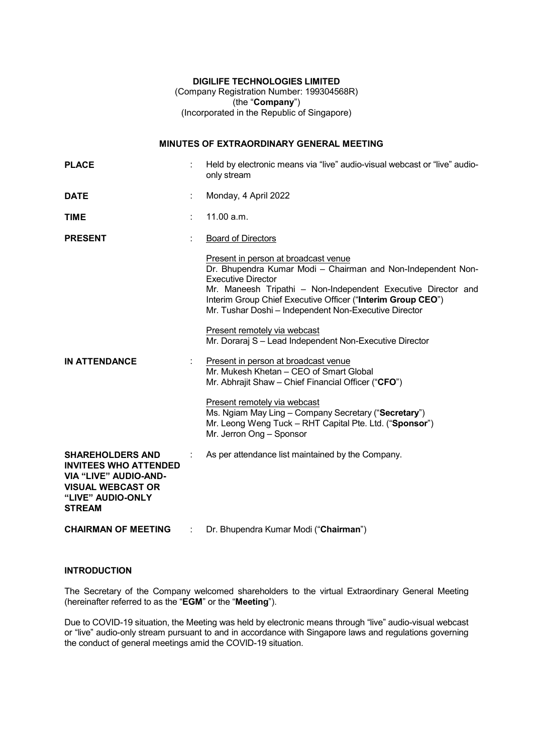### DIGILIFE TECHNOLOGIES LIMITED

(Company Registration Number: 199304568R) (the "Company") (Incorporated in the Republic of Singapore)

# MINUTES OF EXTRAORDINARY GENERAL MEETING

| <b>PLACE</b>                                                                                                                                              |   | Held by electronic means via "live" audio-visual webcast or "live" audio-<br>only stream                                                                                                                                                                                                                                                                                                                                                                                                                                                                                                                                                                                                                                                       |  |  |
|-----------------------------------------------------------------------------------------------------------------------------------------------------------|---|------------------------------------------------------------------------------------------------------------------------------------------------------------------------------------------------------------------------------------------------------------------------------------------------------------------------------------------------------------------------------------------------------------------------------------------------------------------------------------------------------------------------------------------------------------------------------------------------------------------------------------------------------------------------------------------------------------------------------------------------|--|--|
| <b>DATE</b>                                                                                                                                               |   | Monday, 4 April 2022                                                                                                                                                                                                                                                                                                                                                                                                                                                                                                                                                                                                                                                                                                                           |  |  |
| <b>TIME</b>                                                                                                                                               |   | 11.00 a.m.                                                                                                                                                                                                                                                                                                                                                                                                                                                                                                                                                                                                                                                                                                                                     |  |  |
| <b>PRESENT</b>                                                                                                                                            |   | <b>Board of Directors</b>                                                                                                                                                                                                                                                                                                                                                                                                                                                                                                                                                                                                                                                                                                                      |  |  |
| <b>IN ATTENDANCE</b>                                                                                                                                      |   | Present in person at broadcast venue<br>Dr. Bhupendra Kumar Modi - Chairman and Non-Independent Non-<br><b>Executive Director</b><br>Mr. Maneesh Tripathi - Non-Independent Executive Director and<br>Interim Group Chief Executive Officer ("Interim Group CEO")<br>Mr. Tushar Doshi - Independent Non-Executive Director<br>Present remotely via webcast<br>Mr. Doraraj S - Lead Independent Non-Executive Director<br>Present in person at broadcast venue<br>Mr. Mukesh Khetan - CEO of Smart Global<br>Mr. Abhrajit Shaw - Chief Financial Officer ("CFO")<br>Present remotely via webcast<br>Ms. Ngiam May Ling - Company Secretary ("Secretary")<br>Mr. Leong Weng Tuck - RHT Capital Pte. Ltd. ("Sponsor")<br>Mr. Jerron Ong - Sponsor |  |  |
| <b>SHAREHOLDERS AND</b><br><b>INVITEES WHO ATTENDED</b><br><b>VIA "LIVE" AUDIO-AND-</b><br><b>VISUAL WEBCAST OR</b><br>"LIVE" AUDIO-ONLY<br><b>STREAM</b> |   | As per attendance list maintained by the Company.                                                                                                                                                                                                                                                                                                                                                                                                                                                                                                                                                                                                                                                                                              |  |  |
| <b>CHAIRMAN OF MEETING</b>                                                                                                                                | ÷ | Dr. Bhupendra Kumar Modi ("Chairman")                                                                                                                                                                                                                                                                                                                                                                                                                                                                                                                                                                                                                                                                                                          |  |  |

## **INTRODUCTION**

The Secretary of the Company welcomed shareholders to the virtual Extraordinary General Meeting (hereinafter referred to as the "EGM" or the "Meeting").

Due to COVID-19 situation, the Meeting was held by electronic means through "live" audio-visual webcast or "live" audio-only stream pursuant to and in accordance with Singapore laws and regulations governing the conduct of general meetings amid the COVID-19 situation.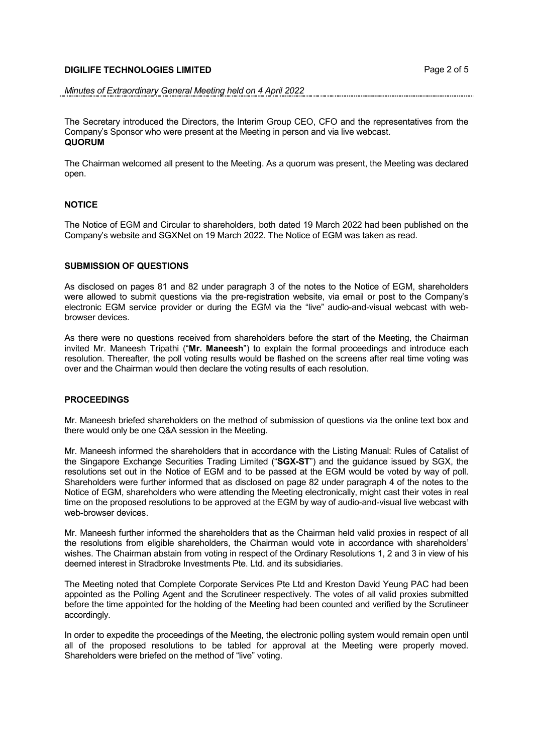## DIGILIFE TECHNOLOGIES LIMITED Page 2 of 5

### Minutes of Extraordinary General Meeting held on 4 April 2022

The Secretary introduced the Directors, the Interim Group CEO, CFO and the representatives from the Company's Sponsor who were present at the Meeting in person and via live webcast. **QUORUM** 

The Chairman welcomed all present to the Meeting. As a quorum was present, the Meeting was declared open.

### **NOTICE**

The Notice of EGM and Circular to shareholders, both dated 19 March 2022 had been published on the Company's website and SGXNet on 19 March 2022. The Notice of EGM was taken as read.

## SUBMISSION OF QUESTIONS

As disclosed on pages 81 and 82 under paragraph 3 of the notes to the Notice of EGM, shareholders were allowed to submit questions via the pre-registration website, via email or post to the Company's electronic EGM service provider or during the EGM via the "live" audio-and-visual webcast with webbrowser devices.

As there were no questions received from shareholders before the start of the Meeting, the Chairman invited Mr. Maneesh Tripathi ("Mr. Maneesh") to explain the formal proceedings and introduce each resolution. Thereafter, the poll voting results would be flashed on the screens after real time voting was over and the Chairman would then declare the voting results of each resolution.

## **PROCEEDINGS**

Mr. Maneesh briefed shareholders on the method of submission of questions via the online text box and there would only be one Q&A session in the Meeting.

Mr. Maneesh informed the shareholders that in accordance with the Listing Manual: Rules of Catalist of the Singapore Exchange Securities Trading Limited ("SGX-ST") and the guidance issued by SGX, the resolutions set out in the Notice of EGM and to be passed at the EGM would be voted by way of poll. Shareholders were further informed that as disclosed on page 82 under paragraph 4 of the notes to the Notice of EGM, shareholders who were attending the Meeting electronically, might cast their votes in real time on the proposed resolutions to be approved at the EGM by way of audio-and-visual live webcast with web-browser devices.

Mr. Maneesh further informed the shareholders that as the Chairman held valid proxies in respect of all the resolutions from eligible shareholders, the Chairman would vote in accordance with shareholders' wishes. The Chairman abstain from voting in respect of the Ordinary Resolutions 1, 2 and 3 in view of his deemed interest in Stradbroke Investments Pte. Ltd. and its subsidiaries.

The Meeting noted that Complete Corporate Services Pte Ltd and Kreston David Yeung PAC had been appointed as the Polling Agent and the Scrutineer respectively. The votes of all valid proxies submitted before the time appointed for the holding of the Meeting had been counted and verified by the Scrutineer accordingly.

In order to expedite the proceedings of the Meeting, the electronic polling system would remain open until all of the proposed resolutions to be tabled for approval at the Meeting were properly moved. Shareholders were briefed on the method of "live" voting.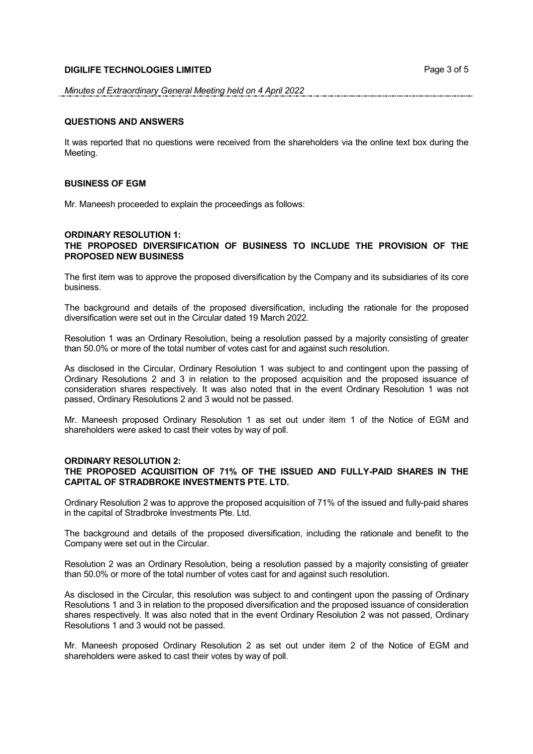## **DIGILIFE TECHNOLOGIES LIMITED DIGILIFE TECHNOLOGIES LIMITED**

#### Minutes of Extraordinary General Meeting held on 4 April 2022

#### QUESTIONS AND ANSWERS

It was reported that no questions were received from the shareholders via the online text box during the Meeting.

### BUSINESS OF EGM

Mr. Maneesh proceeded to explain the proceedings as follows:

### ORDINARY RESOLUTION 1: THE PROPOSED DIVERSIFICATION OF BUSINESS TO INCLUDE THE PROVISION OF THE PROPOSED NEW BUSINESS

The first item was to approve the proposed diversification by the Company and its subsidiaries of its core business.

The background and details of the proposed diversification, including the rationale for the proposed diversification were set out in the Circular dated 19 March 2022.

Resolution 1 was an Ordinary Resolution, being a resolution passed by a majority consisting of greater than 50.0% or more of the total number of votes cast for and against such resolution.

As disclosed in the Circular, Ordinary Resolution 1 was subject to and contingent upon the passing of Ordinary Resolutions 2 and 3 in relation to the proposed acquisition and the proposed issuance of consideration shares respectively. It was also noted that in the event Ordinary Resolution 1 was not passed, Ordinary Resolutions 2 and 3 would not be passed.

Mr. Maneesh proposed Ordinary Resolution 1 as set out under item 1 of the Notice of EGM and shareholders were asked to cast their votes by way of poll.

#### ORDINARY RESOLUTION 2:

## THE PROPOSED ACQUISITION OF 71% OF THE ISSUED AND FULLY-PAID SHARES IN THE CAPITAL OF STRADBROKE INVESTMENTS PTE. LTD.

Ordinary Resolution 2 was to approve the proposed acquisition of 71% of the issued and fully-paid shares in the capital of Stradbroke Investments Pte. Ltd.

The background and details of the proposed diversification, including the rationale and benefit to the Company were set out in the Circular.

Resolution 2 was an Ordinary Resolution, being a resolution passed by a majority consisting of greater than 50.0% or more of the total number of votes cast for and against such resolution.

As disclosed in the Circular, this resolution was subject to and contingent upon the passing of Ordinary Resolutions 1 and 3 in relation to the proposed diversification and the proposed issuance of consideration shares respectively. It was also noted that in the event Ordinary Resolution 2 was not passed, Ordinary Resolutions 1 and 3 would not be passed.

Mr. Maneesh proposed Ordinary Resolution 2 as set out under item 2 of the Notice of EGM and shareholders were asked to cast their votes by way of poll.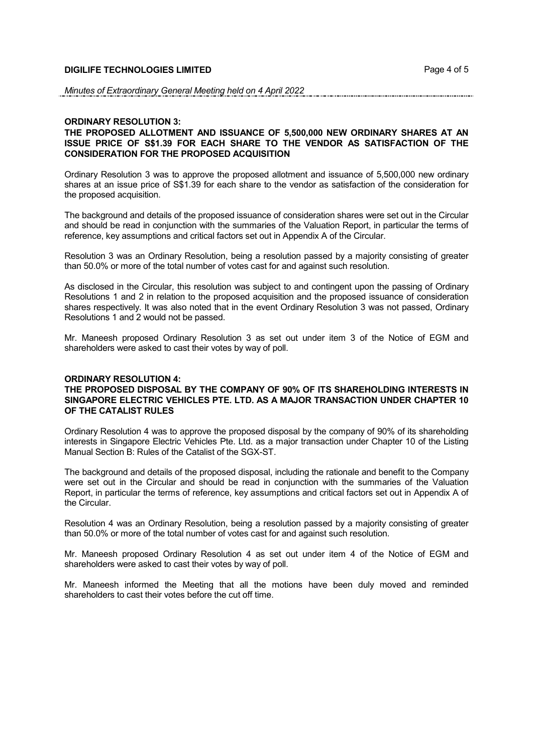#### Minutes of Extraordinary General Meeting held on 4 April 2022

#### ORDINARY RESOLUTION 3:

## THE PROPOSED ALLOTMENT AND ISSUANCE OF 5,500,000 NEW ORDINARY SHARES AT AN ISSUE PRICE OF S\$1.39 FOR EACH SHARE TO THE VENDOR AS SATISFACTION OF THE CONSIDERATION FOR THE PROPOSED ACQUISITION

Ordinary Resolution 3 was to approve the proposed allotment and issuance of 5,500,000 new ordinary shares at an issue price of S\$1.39 for each share to the vendor as satisfaction of the consideration for the proposed acquisition.

The background and details of the proposed issuance of consideration shares were set out in the Circular and should be read in conjunction with the summaries of the Valuation Report, in particular the terms of reference, key assumptions and critical factors set out in Appendix A of the Circular.

Resolution 3 was an Ordinary Resolution, being a resolution passed by a majority consisting of greater than 50.0% or more of the total number of votes cast for and against such resolution.

As disclosed in the Circular, this resolution was subject to and contingent upon the passing of Ordinary Resolutions 1 and 2 in relation to the proposed acquisition and the proposed issuance of consideration shares respectively. It was also noted that in the event Ordinary Resolution 3 was not passed, Ordinary Resolutions 1 and 2 would not be passed.

Mr. Maneesh proposed Ordinary Resolution 3 as set out under item 3 of the Notice of EGM and shareholders were asked to cast their votes by way of poll.

## ORDINARY RESOLUTION 4:

## THE PROPOSED DISPOSAL BY THE COMPANY OF 90% OF ITS SHAREHOLDING INTERESTS IN SINGAPORE ELECTRIC VEHICLES PTE. LTD. AS A MAJOR TRANSACTION UNDER CHAPTER 10 OF THE CATALIST RULES

Ordinary Resolution 4 was to approve the proposed disposal by the company of 90% of its shareholding interests in Singapore Electric Vehicles Pte. Ltd. as a major transaction under Chapter 10 of the Listing Manual Section B: Rules of the Catalist of the SGX-ST.

The background and details of the proposed disposal, including the rationale and benefit to the Company were set out in the Circular and should be read in conjunction with the summaries of the Valuation Report, in particular the terms of reference, key assumptions and critical factors set out in Appendix A of the Circular.

Resolution 4 was an Ordinary Resolution, being a resolution passed by a majority consisting of greater than 50.0% or more of the total number of votes cast for and against such resolution.

Mr. Maneesh proposed Ordinary Resolution 4 as set out under item 4 of the Notice of EGM and shareholders were asked to cast their votes by way of poll.

Mr. Maneesh informed the Meeting that all the motions have been duly moved and reminded shareholders to cast their votes before the cut off time.